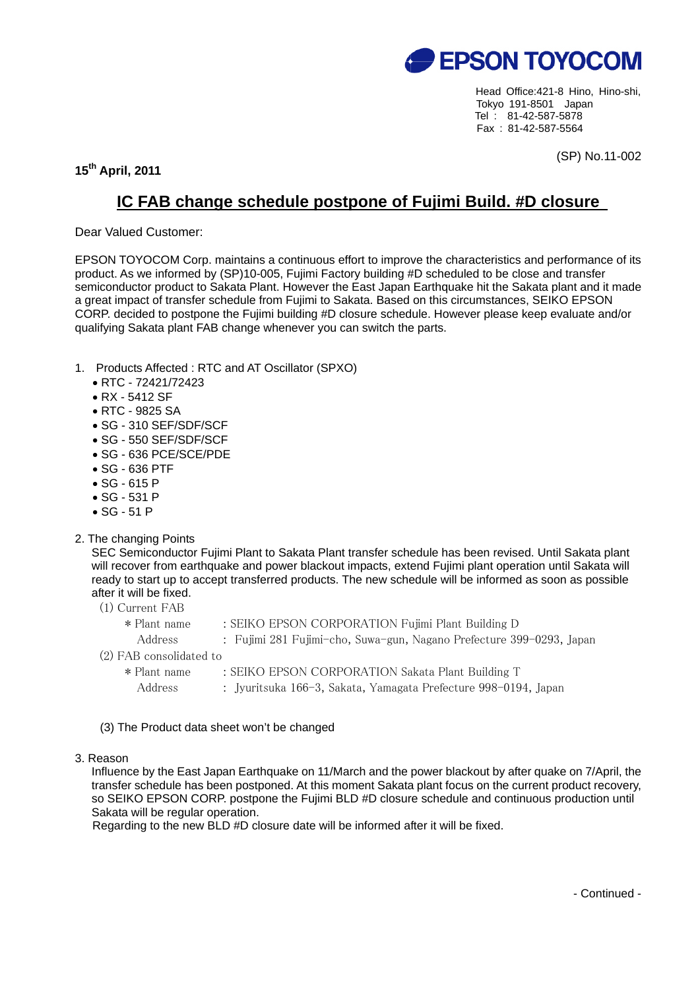

Head Office:421-8 Hino, Hino-shi, Tokyo 191-8501 Japan Tel : 81-42-587-5878 Fax : 81-42-587-5564

**15th April, 2011** 

(SP) No.11-002

## **IC FAB change schedule postpone of Fujimi Build. #D closure**

Dear Valued Customer:

EPSON TOYOCOM Corp. maintains a continuous effort to improve the characteristics and performance of its product. As we informed by (SP)10-005, Fujimi Factory building #D scheduled to be close and transfer semiconductor product to Sakata Plant. However the East Japan Earthquake hit the Sakata plant and it made a great impact of transfer schedule from Fujimi to Sakata. Based on this circumstances, SEIKO EPSON CORP. decided to postpone the Fujimi building #D closure schedule. However please keep evaluate and/or qualifying Sakata plant FAB change whenever you can switch the parts.

- 1. Products Affected : RTC and AT Oscillator (SPXO)
	- RTC 72421/72423
	- RX 5412 SF
	- RTC 9825 SA
	- SG 310 SEF/SDF/SCF
	- SG 550 SEF/SDF/SCF
	- SG 636 PCE/SCE/PDE
	- SG 636 PTF
	- SG 615 P
	- SG 531 P
	- SG 51 P
- 2. The changing Points

SEC Semiconductor Fujimi Plant to Sakata Plant transfer schedule has been revised. Until Sakata plant will recover from earthquake and power blackout impacts, extend Fujimi plant operation until Sakata will ready to start up to accept transferred products. The new schedule will be informed as soon as possible after it will be fixed.

- (1) Current FAB
- \* Plant name : SEIKO EPSON CORPORATION Fujimi Plant Building D Address : Fujimi 281 Fujimi-cho, Suwa-gun, Nagano Prefecture 399-0293, Japan (2) FAB consolidated to \* Plant name : SEIKO EPSON CORPORATION Sakata Plant Building T
	- Address : Jyuritsuka 166-3, Sakata, Yamagata Prefecture 998-0194, Japan
- (3) The Product data sheet won't be changed
- 3. Reason

Influence by the East Japan Earthquake on 11/March and the power blackout by after quake on 7/April, the transfer schedule has been postponed. At this moment Sakata plant focus on the current product recovery, so SEIKO EPSON CORP. postpone the Fujimi BLD #D closure schedule and continuous production until Sakata will be regular operation.

Regarding to the new BLD #D closure date will be informed after it will be fixed.

- Continued -